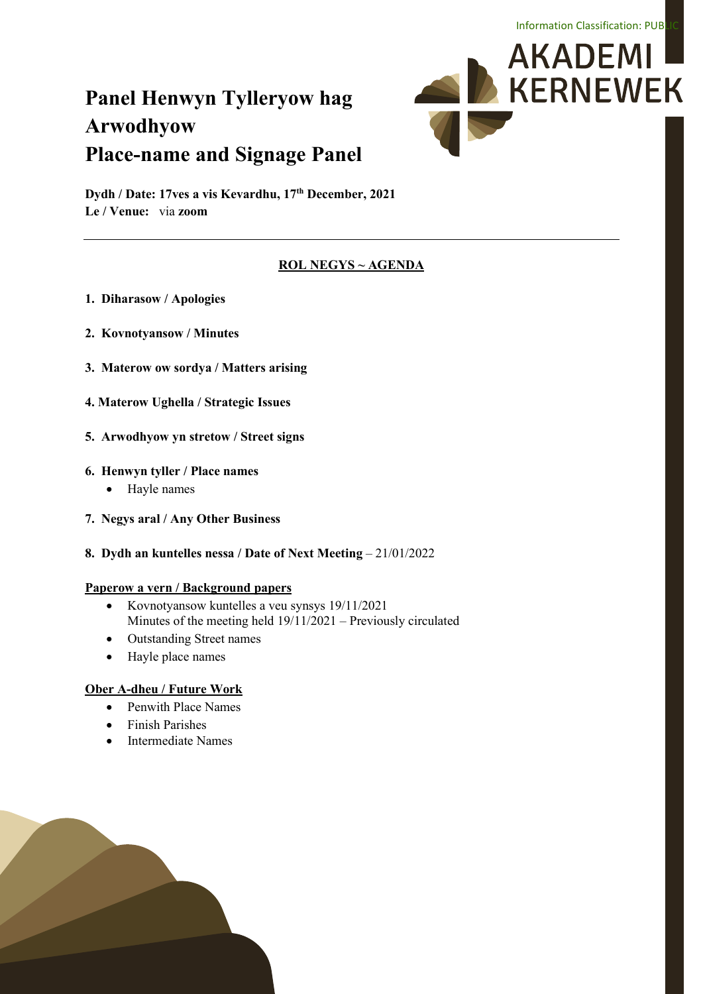# **Panel Henwyn Tylleryow hag Arwodhyow Place-name and Signage Panel**



**Dydh / Date: 17ves a vis Kevardhu, 17th December, 2021 Le / Venue:** via **zoom**

#### **ROL NEGYS ~ AGENDA**

- **1. Diharasow / Apologies**
- **2. Kovnotyansow / Minutes**
- **3. Materow ow sordya / Matters arising**
- **4. Materow Ughella / Strategic Issues**
- **5. Arwodhyow yn stretow / Street signs**

#### **6. Henwyn tyller / Place names**

- Hayle names
- **7. Negys aral / Any Other Business**
- **8. Dydh an kuntelles nessa / Date of Next Meeting**  21/01/2022

#### **Paperow a vern / Background papers**

- Kovnotyansow kuntelles a veu synsys 19/11/2021 Minutes of the meeting held 19/11/2021 – Previously circulated
- Outstanding Street names
- Hayle place names

#### **Ober A-dheu / Future Work**

- Penwith Place Names
- Finish Parishes
- Intermediate Names

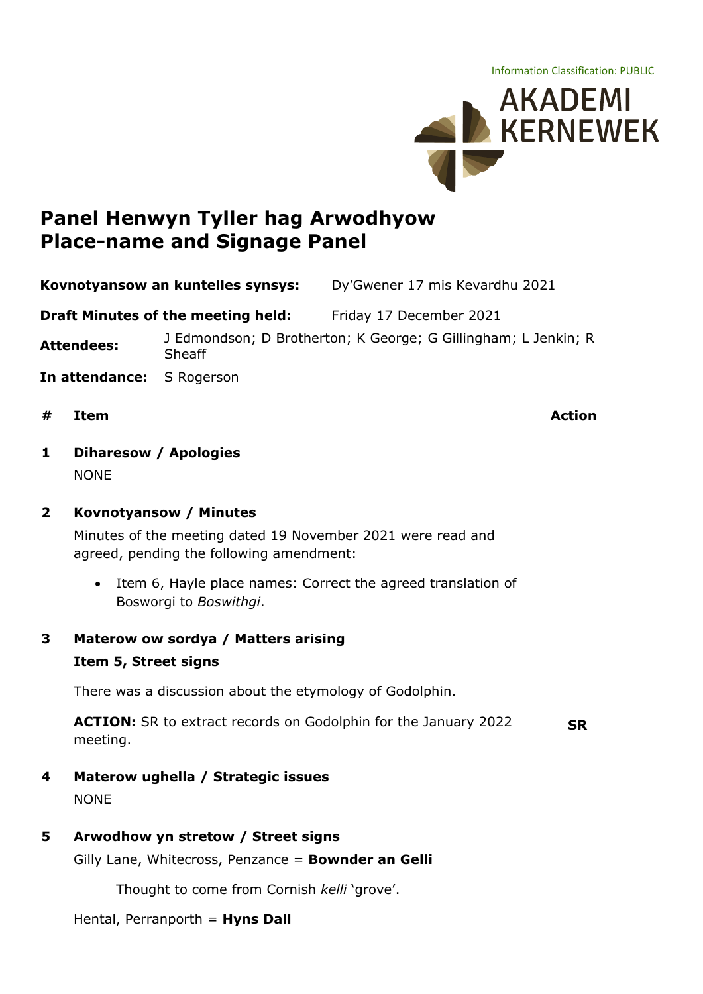Information Classification: PUBLIC



# **Panel Henwyn Tyller hag Arwodhyow Place-name and Signage Panel**

**Kovnotyansow an kuntelles synsys:** Dy'Gwener 17 mis Kevardhu 2021

**Draft Minutes of the meeting held:** Friday 17 December 2021

**Attendees:** J Edmondson; D Brotherton; K George; G Gillingham; L Jenkin; <sup>R</sup> Sheaff

- **In attendance:** S Rogerson
- **# Item Action**

- **1 Diharesow / Apologies** NONE
- **2 Kovnotyansow / Minutes**

Minutes of the meeting dated 19 November 2021 were read and agreed, pending the following amendment:

- Item 6, Hayle place names: Correct the agreed translation of Bosworgi to *Boswithgi*.
- **3 Materow ow sordya / Matters arising Item 5, Street signs**

There was a discussion about the etymology of Godolphin.

**ACTION:** SR to extract records on Godolphin for the January 2022 meeting. **SR**

**4 Materow ughella / Strategic issues**

NONE

**5 Arwodhow yn stretow / Street signs**

Gilly Lane, Whitecross, Penzance = **Bownder an Gelli**

Thought to come from Cornish *kelli* 'grove'.

Hental, Perranporth = **Hyns Dall**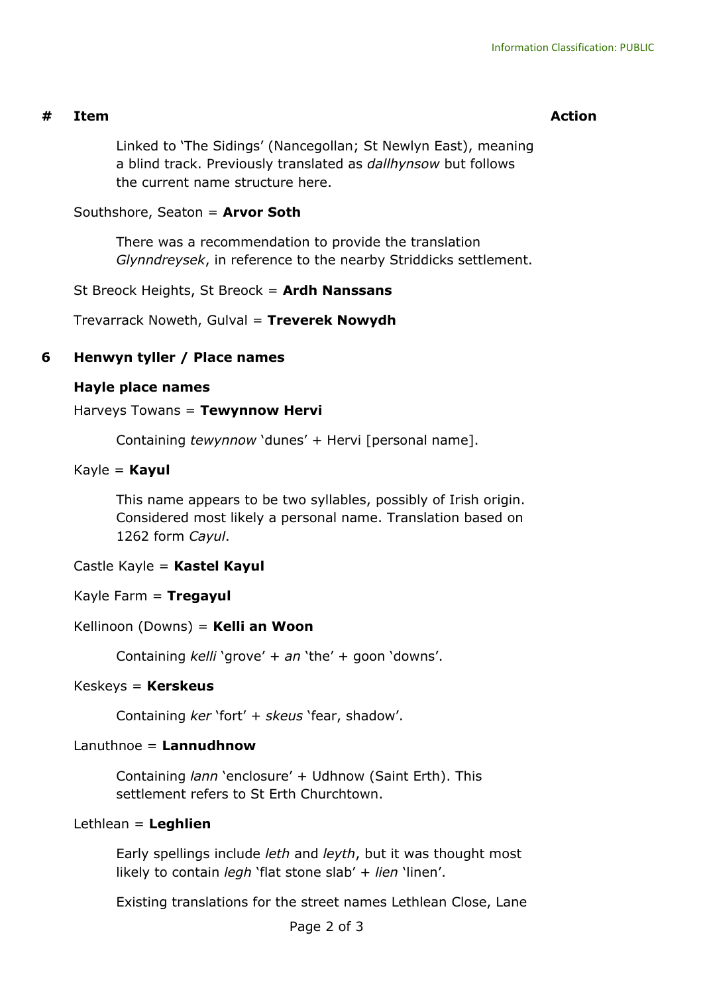## **# Item Action**

Linked to 'The Sidings' (Nancegollan; St Newlyn East), meaning a blind track. Previously translated as *dallhynsow* but follows the current name structure here.

#### Southshore, Seaton = **Arvor Soth**

There was a recommendation to provide the translation *Glynndreysek*, in reference to the nearby Striddicks settlement.

St Breock Heights, St Breock = **Ardh Nanssans**

Trevarrack Noweth, Gulval = **Treverek Nowydh**

# **6 Henwyn tyller / Place names**

## **Hayle place names**

#### Harveys Towans = **Tewynnow Hervi**

Containing *tewynnow* 'dunes' + Hervi [personal name].

## Kayle = **Kayul**

This name appears to be two syllables, possibly of Irish origin. Considered most likely a personal name. Translation based on 1262 form *Cayul*.

## Castle Kayle = **Kastel Kayul**

## Kayle Farm = **Tregayul**

## Kellinoon (Downs) = **Kelli an Woon**

Containing *kelli* 'grove' + *an* 'the' + goon 'downs'.

#### Keskeys = **Kerskeus**

Containing *ker* 'fort' + *skeus* 'fear, shadow'.

## Lanuthnoe = **Lannudhnow**

Containing *lann* 'enclosure' + Udhnow (Saint Erth). This settlement refers to St Erth Churchtown.

#### Lethlean = **Leghlien**

Early spellings include *leth* and *leyth*, but it was thought most likely to contain *legh* 'flat stone slab' + *lien* 'linen'.

Existing translations for the street names Lethlean Close, Lane